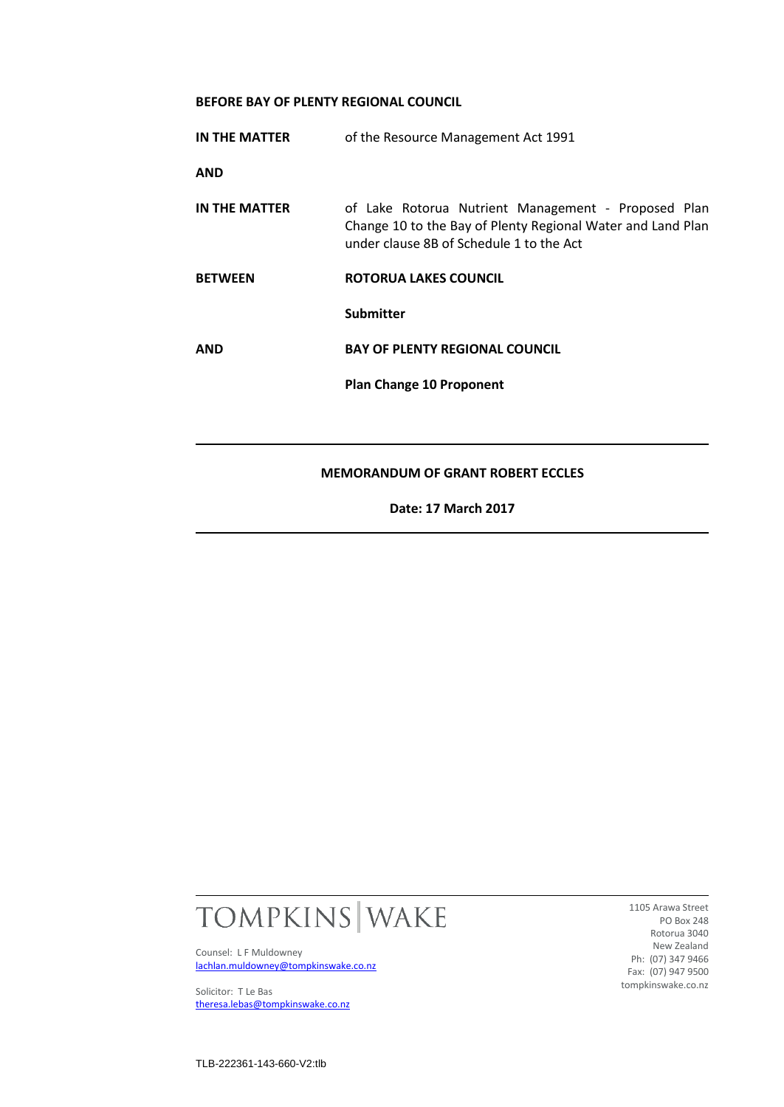## **BEFORE BAY OF PLENTY REGIONAL COUNCIL**

| IN THE MATTER  | of the Resource Management Act 1991                                                                                                                            |
|----------------|----------------------------------------------------------------------------------------------------------------------------------------------------------------|
| <b>AND</b>     |                                                                                                                                                                |
| IN THE MATTER  | of Lake Rotorua Nutrient Management - Proposed Plan<br>Change 10 to the Bay of Plenty Regional Water and Land Plan<br>under clause 8B of Schedule 1 to the Act |
| <b>BETWEEN</b> | ROTORUA LAKES COUNCIL                                                                                                                                          |
|                | <b>Submitter</b>                                                                                                                                               |
| <b>AND</b>     | <b>BAY OF PLENTY REGIONAL COUNCIL</b>                                                                                                                          |
|                | <b>Plan Change 10 Proponent</b>                                                                                                                                |
|                |                                                                                                                                                                |
|                | <b>MEMORANDUM OF GRANT ROBERT ECCLES</b>                                                                                                                       |
|                | Date: 17 March 2017                                                                                                                                            |



Counsel: L F Muldowney [lachlan.muldowney@tompkinswake.co.nz](mailto:lachlan.muldowney@tompkinswake.co.nz)

Solicitor: T Le Bas [theresa.lebas@tompkinswake.co.nz](mailto:theresa.lebas@tompkinswake.co.nz)

1105 Arawa Street PO Box 248 Rotorua 3040 New Zealand Ph: (07) 347 9466 Fax: (07) 947 9500 tompkinswake.co.nz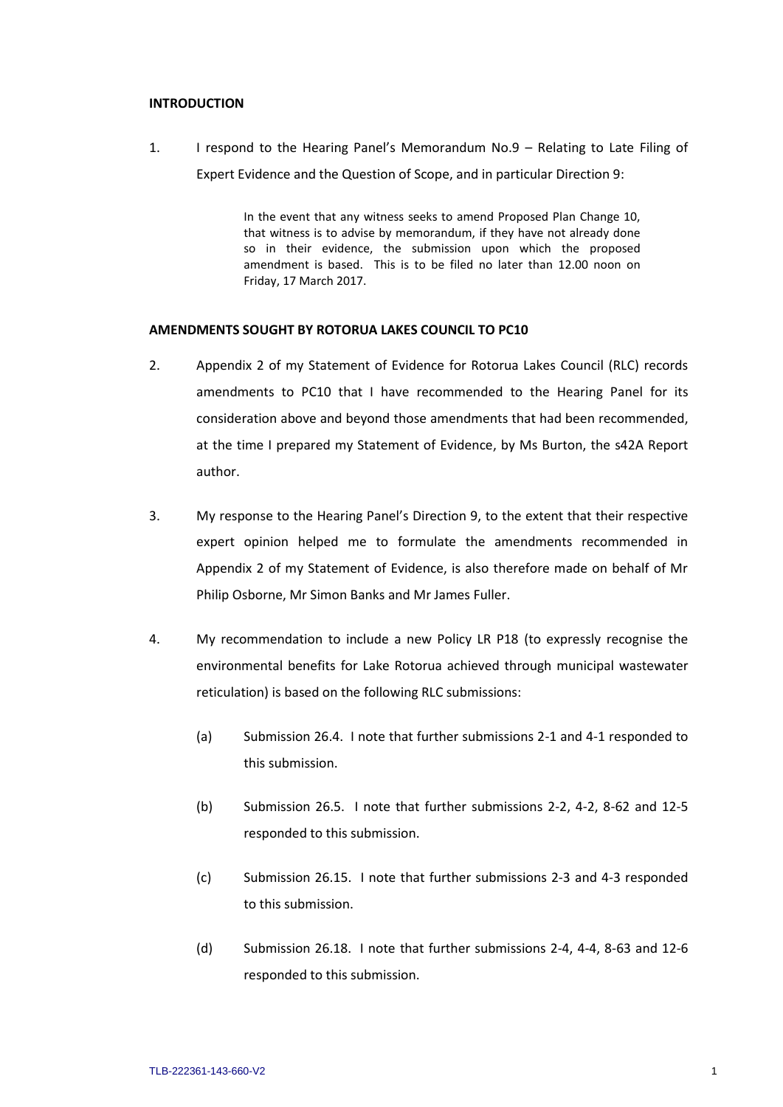## **INTRODUCTION**

1. I respond to the Hearing Panel's Memorandum No.9 – Relating to Late Filing of Expert Evidence and the Question of Scope, and in particular Direction 9:

> In the event that any witness seeks to amend Proposed Plan Change 10, that witness is to advise by memorandum, if they have not already done so in their evidence, the submission upon which the proposed amendment is based. This is to be filed no later than 12.00 noon on Friday, 17 March 2017.

## **AMENDMENTS SOUGHT BY ROTORUA LAKES COUNCIL TO PC10**

- 2. Appendix 2 of my Statement of Evidence for Rotorua Lakes Council (RLC) records amendments to PC10 that I have recommended to the Hearing Panel for its consideration above and beyond those amendments that had been recommended, at the time I prepared my Statement of Evidence, by Ms Burton, the s42A Report author.
- 3. My response to the Hearing Panel's Direction 9, to the extent that their respective expert opinion helped me to formulate the amendments recommended in Appendix 2 of my Statement of Evidence, is also therefore made on behalf of Mr Philip Osborne, Mr Simon Banks and Mr James Fuller.
- 4. My recommendation to include a new Policy LR P18 (to expressly recognise the environmental benefits for Lake Rotorua achieved through municipal wastewater reticulation) is based on the following RLC submissions:
	- (a) Submission 26.4. I note that further submissions 2-1 and 4-1 responded to this submission.
	- (b) Submission 26.5. I note that further submissions 2-2, 4-2, 8-62 and 12-5 responded to this submission.
	- (c) Submission 26.15. I note that further submissions 2-3 and 4-3 responded to this submission.
	- (d) Submission 26.18. I note that further submissions 2-4, 4-4, 8-63 and 12-6 responded to this submission.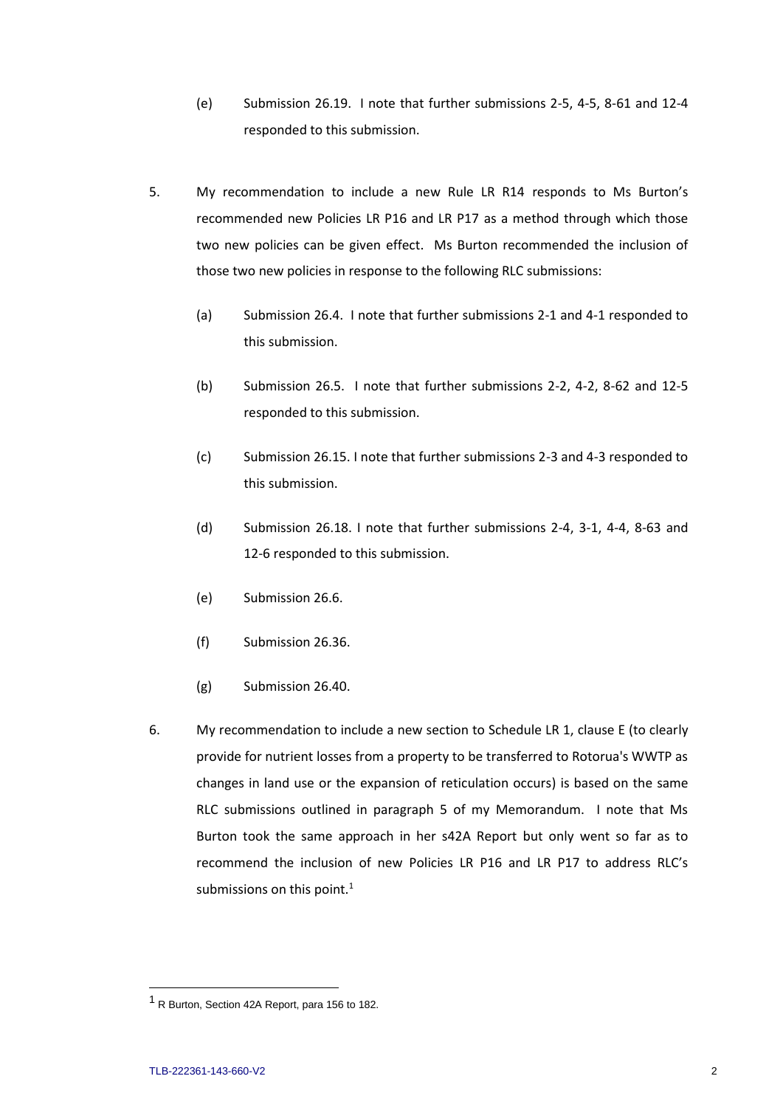- (e) Submission 26.19. I note that further submissions 2-5, 4-5, 8-61 and 12-4 responded to this submission.
- 5. My recommendation to include a new Rule LR R14 responds to Ms Burton's recommended new Policies LR P16 and LR P17 as a method through which those two new policies can be given effect. Ms Burton recommended the inclusion of those two new policies in response to the following RLC submissions:
	- (a) Submission 26.4. I note that further submissions 2-1 and 4-1 responded to this submission.
	- (b) Submission 26.5. I note that further submissions 2-2, 4-2, 8-62 and 12-5 responded to this submission.
	- (c) Submission 26.15. I note that further submissions 2-3 and 4-3 responded to this submission.
	- (d) Submission 26.18. I note that further submissions 2-4, 3-1, 4-4, 8-63 and 12-6 responded to this submission.
	- (e) Submission 26.6.
	- (f) Submission 26.36.
	- (g) Submission 26.40.
- 6. My recommendation to include a new section to Schedule LR 1, clause E (to clearly provide for nutrient losses from a property to be transferred to Rotorua's WWTP as changes in land use or the expansion of reticulation occurs) is based on the same RLC submissions outlined in paragraph 5 of my Memorandum. I note that Ms Burton took the same approach in her s42A Report but only went so far as to recommend the inclusion of new Policies LR P16 and LR P17 to address RLC's submissions on this point. $1$

 $\overline{a}$ 

<sup>&</sup>lt;sup>1</sup> R Burton, Section 42A Report, para 156 to 182.